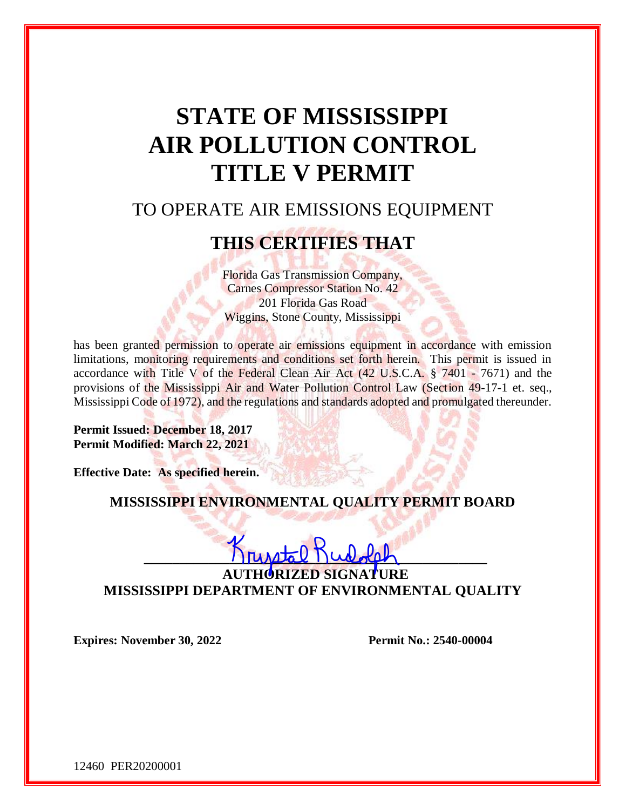# **STATE OF MISSISSIPPI AIR POLLUTION CONTROL TITLE V PERMIT**

## TO OPERATE AIR EMISSIONS EQUIPMENT

## **THIS CERTIFIES THAT**

Florida Gas Transmission Company, Carnes Compressor Station No. 42 201 Florida Gas Road Wiggins, Stone County, Mississippi

has been granted permission to operate air emissions equipment in accordance with emission limitations, monitoring requirements and conditions set forth herein. This permit is issued in accordance with Title V of the Federal Clean Air Act  $(42 \text{ U.S.C.A. } § 7401 - 7671)$  and the provisions of the Mississippi Air and Water Pollution Control Law (Section 49-17-1 et. seq., Mississippi Code of 1972), and the regulations and standards adopted and promulgated thereunder.

**Permit Issued: December 18, 2017 Permit Modified: March 22, 2021**

**Effective Date: As specified herein.** 

**MISSISSIPPI ENVIRONMENTAL QUALITY PERMIT BOARD**

## $\frac{1}{\text{number}}$ **AUTHORIZED SIGNATURE MISSISSIPPI DEPARTMENT OF ENVIRONMENTAL QUALITY**

**Expires:** November 30, 2022 **Permit No.: 2540-00004** 

12460 PER20200001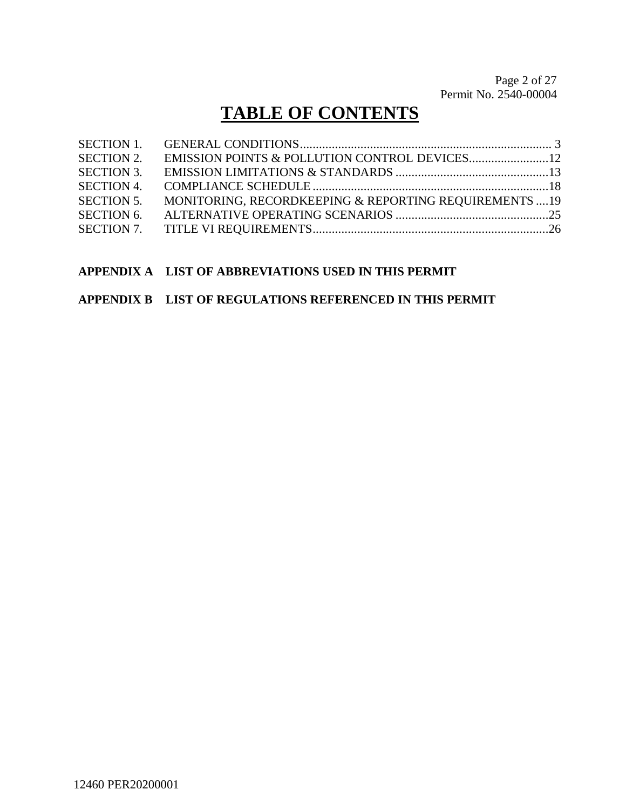Page 2 of [27](#page-26-0) Permit No. 2540-00004

## **TABLE OF CONTENTS**

| <b>SECTION 1.</b> |                                                        |  |
|-------------------|--------------------------------------------------------|--|
| <b>SECTION 2.</b> |                                                        |  |
| <b>SECTION 3.</b> |                                                        |  |
| <b>SECTION 4.</b> |                                                        |  |
| <b>SECTION 5.</b> | MONITORING, RECORDKEEPING & REPORTING REQUIREMENTS  19 |  |
| <b>SECTION 6.</b> |                                                        |  |
|                   |                                                        |  |

### **APPENDIX A LIST OF ABBREVIATIONS USED IN THIS PERMIT**

### **APPENDIX B LIST OF REGULATIONS REFERENCED IN THIS PERMIT**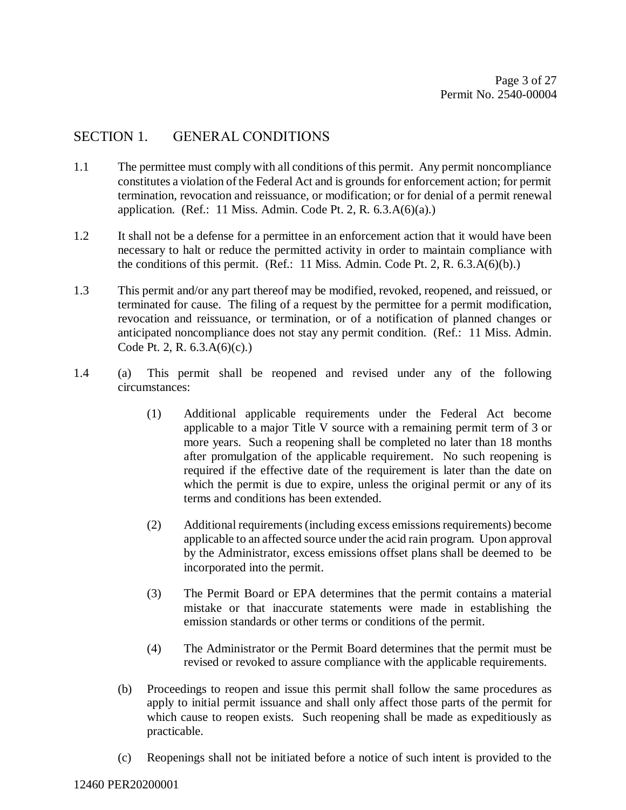## SECTION 1. GENERAL CONDITIONS

- 1.1 The permittee must comply with all conditions of this permit. Any permit noncompliance constitutes a violation of the Federal Act and is grounds for enforcement action; for permit termination, revocation and reissuance, or modification; or for denial of a permit renewal application. (Ref.: 11 Miss. Admin. Code Pt. 2, R.  $6.3.A(6)(a)$ .)
- 1.2 It shall not be a defense for a permittee in an enforcement action that it would have been necessary to halt or reduce the permitted activity in order to maintain compliance with the conditions of this permit. (Ref.: 11 Miss. Admin. Code Pt. 2, R. 6.3.A(6)(b).)
- 1.3 This permit and/or any part thereof may be modified, revoked, reopened, and reissued, or terminated for cause. The filing of a request by the permittee for a permit modification, revocation and reissuance, or termination, or of a notification of planned changes or anticipated noncompliance does not stay any permit condition. (Ref.: 11 Miss. Admin. Code Pt. 2, R. 6.3.A(6)(c).)
- 1.4 (a) This permit shall be reopened and revised under any of the following circumstances:
	- (1) Additional applicable requirements under the Federal Act become applicable to a major Title V source with a remaining permit term of 3 or more years. Such a reopening shall be completed no later than 18 months after promulgation of the applicable requirement. No such reopening is required if the effective date of the requirement is later than the date on which the permit is due to expire, unless the original permit or any of its terms and conditions has been extended.
	- (2) Additional requirements (including excess emissions requirements) become applicable to an affected source under the acid rain program. Upon approval by the Administrator, excess emissions offset plans shall be deemed to be incorporated into the permit.
	- (3) The Permit Board or EPA determines that the permit contains a material mistake or that inaccurate statements were made in establishing the emission standards or other terms or conditions of the permit.
	- (4) The Administrator or the Permit Board determines that the permit must be revised or revoked to assure compliance with the applicable requirements.
	- (b) Proceedings to reopen and issue this permit shall follow the same procedures as apply to initial permit issuance and shall only affect those parts of the permit for which cause to reopen exists. Such reopening shall be made as expeditiously as practicable.
	- (c) Reopenings shall not be initiated before a notice of such intent is provided to the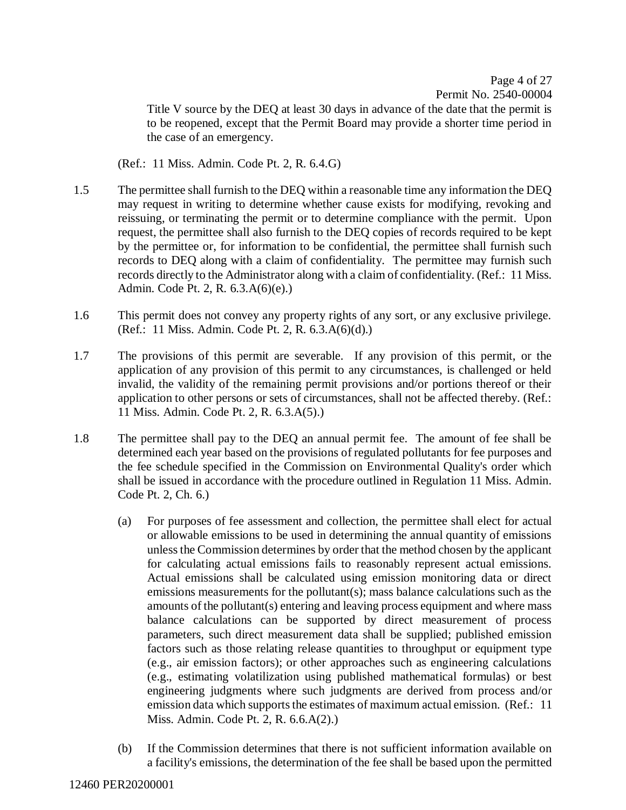Page 4 of [27](#page-26-0) Permit No. 2540-00004

Title V source by the DEQ at least 30 days in advance of the date that the permit is to be reopened, except that the Permit Board may provide a shorter time period in the case of an emergency.

(Ref.: 11 Miss. Admin. Code Pt. 2, R. 6.4.G)

- 1.5 The permittee shall furnish to the DEQ within a reasonable time any information the DEQ may request in writing to determine whether cause exists for modifying, revoking and reissuing, or terminating the permit or to determine compliance with the permit. Upon request, the permittee shall also furnish to the DEQ copies of records required to be kept by the permittee or, for information to be confidential, the permittee shall furnish such records to DEQ along with a claim of confidentiality. The permittee may furnish such records directly to the Administrator along with a claim of confidentiality. (Ref.: 11 Miss. Admin. Code Pt. 2, R. 6.3.A(6)(e).)
- 1.6 This permit does not convey any property rights of any sort, or any exclusive privilege. (Ref.: 11 Miss. Admin. Code Pt. 2, R. 6.3.A(6)(d).)
- 1.7 The provisions of this permit are severable. If any provision of this permit, or the application of any provision of this permit to any circumstances, is challenged or held invalid, the validity of the remaining permit provisions and/or portions thereof or their application to other persons or sets of circumstances, shall not be affected thereby. (Ref.: 11 Miss. Admin. Code Pt. 2, R. 6.3.A(5).)
- 1.8 The permittee shall pay to the DEQ an annual permit fee. The amount of fee shall be determined each year based on the provisions of regulated pollutants for fee purposes and the fee schedule specified in the Commission on Environmental Quality's order which shall be issued in accordance with the procedure outlined in Regulation 11 Miss. Admin. Code Pt. 2, Ch. 6.)
	- (a) For purposes of fee assessment and collection, the permittee shall elect for actual or allowable emissions to be used in determining the annual quantity of emissions unless the Commission determines by order that the method chosen by the applicant for calculating actual emissions fails to reasonably represent actual emissions. Actual emissions shall be calculated using emission monitoring data or direct emissions measurements for the pollutant(s); mass balance calculations such as the amounts of the pollutant(s) entering and leaving process equipment and where mass balance calculations can be supported by direct measurement of process parameters, such direct measurement data shall be supplied; published emission factors such as those relating release quantities to throughput or equipment type (e.g., air emission factors); or other approaches such as engineering calculations (e.g., estimating volatilization using published mathematical formulas) or best engineering judgments where such judgments are derived from process and/or emission data which supports the estimates of maximum actual emission. (Ref.: 11 Miss. Admin. Code Pt. 2, R. 6.6.A(2).)
	- (b) If the Commission determines that there is not sufficient information available on a facility's emissions, the determination of the fee shall be based upon the permitted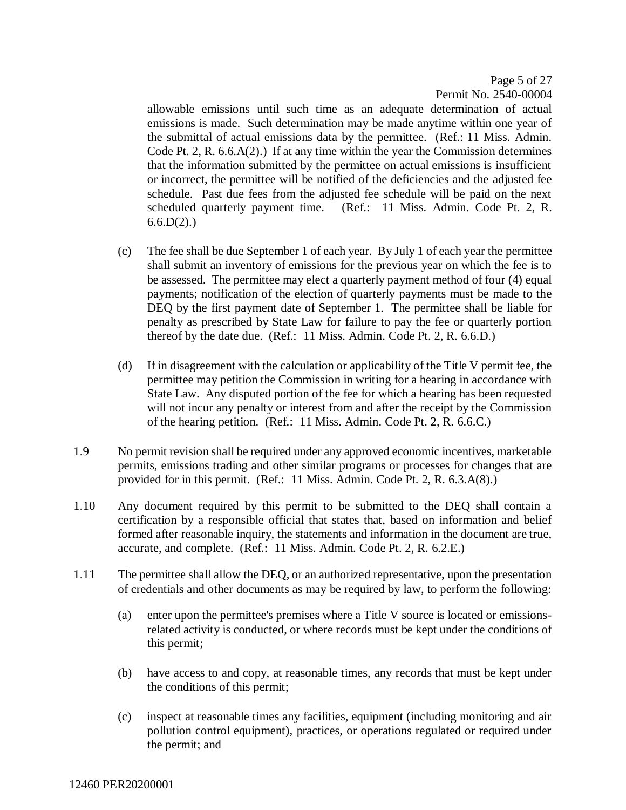Page 5 of [27](#page-26-0) Permit No. 2540-00004

allowable emissions until such time as an adequate determination of actual emissions is made. Such determination may be made anytime within one year of the submittal of actual emissions data by the permittee. (Ref.: 11 Miss. Admin. Code Pt. 2, R. 6.6.A(2).) If at any time within the year the Commission determines that the information submitted by the permittee on actual emissions is insufficient or incorrect, the permittee will be notified of the deficiencies and the adjusted fee schedule. Past due fees from the adjusted fee schedule will be paid on the next scheduled quarterly payment time. (Ref.: 11 Miss. Admin. Code Pt. 2, R.  $6.6.D(2)$ .)

- (c) The fee shall be due September 1 of each year. By July 1 of each year the permittee shall submit an inventory of emissions for the previous year on which the fee is to be assessed. The permittee may elect a quarterly payment method of four (4) equal payments; notification of the election of quarterly payments must be made to the DEQ by the first payment date of September 1. The permittee shall be liable for penalty as prescribed by State Law for failure to pay the fee or quarterly portion thereof by the date due. (Ref.: 11 Miss. Admin. Code Pt. 2, R. 6.6.D.)
- (d) If in disagreement with the calculation or applicability of the Title V permit fee, the permittee may petition the Commission in writing for a hearing in accordance with State Law. Any disputed portion of the fee for which a hearing has been requested will not incur any penalty or interest from and after the receipt by the Commission of the hearing petition. (Ref.: 11 Miss. Admin. Code Pt. 2, R. 6.6.C.)
- 1.9 No permit revision shall be required under any approved economic incentives, marketable permits, emissions trading and other similar programs or processes for changes that are provided for in this permit. (Ref.: 11 Miss. Admin. Code Pt. 2, R. 6.3.A(8).)
- 1.10 Any document required by this permit to be submitted to the DEQ shall contain a certification by a responsible official that states that, based on information and belief formed after reasonable inquiry, the statements and information in the document are true, accurate, and complete. (Ref.: 11 Miss. Admin. Code Pt. 2, R. 6.2.E.)
- 1.11 The permittee shall allow the DEQ, or an authorized representative, upon the presentation of credentials and other documents as may be required by law, to perform the following:
	- (a) enter upon the permittee's premises where a Title V source is located or emissionsrelated activity is conducted, or where records must be kept under the conditions of this permit;
	- (b) have access to and copy, at reasonable times, any records that must be kept under the conditions of this permit;
	- (c) inspect at reasonable times any facilities, equipment (including monitoring and air pollution control equipment), practices, or operations regulated or required under the permit; and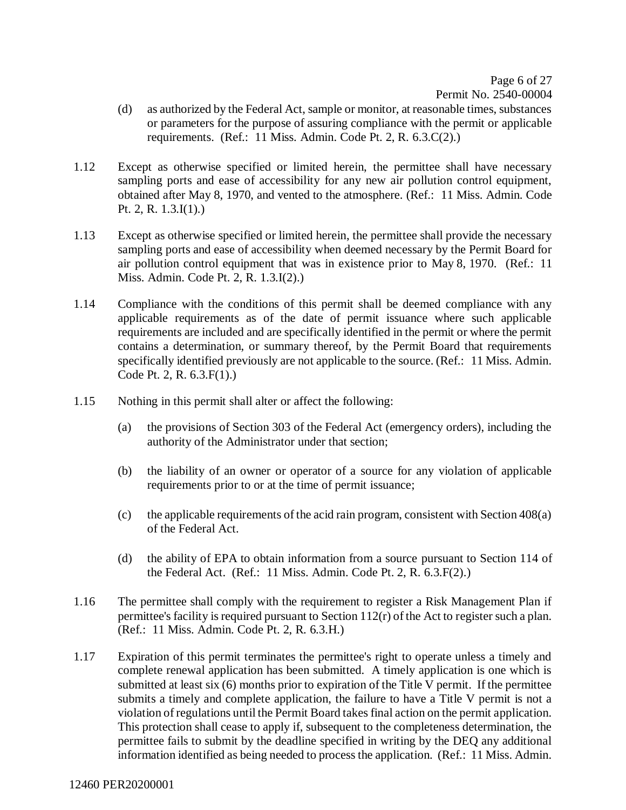Page 6 of [27](#page-26-0) Permit No. 2540-00004

- (d) as authorized by the Federal Act, sample or monitor, at reasonable times, substances or parameters for the purpose of assuring compliance with the permit or applicable requirements. (Ref.: 11 Miss. Admin. Code Pt. 2, R. 6.3.C(2).)
- 1.12 Except as otherwise specified or limited herein, the permittee shall have necessary sampling ports and ease of accessibility for any new air pollution control equipment, obtained after May 8, 1970, and vented to the atmosphere. (Ref.: 11 Miss. Admin. Code Pt. 2, R. 1.3.I(1).)
- 1.13 Except as otherwise specified or limited herein, the permittee shall provide the necessary sampling ports and ease of accessibility when deemed necessary by the Permit Board for air pollution control equipment that was in existence prior to May 8, 1970. (Ref.: 11 Miss. Admin. Code Pt. 2, R. 1.3.I(2).)
- 1.14 Compliance with the conditions of this permit shall be deemed compliance with any applicable requirements as of the date of permit issuance where such applicable requirements are included and are specifically identified in the permit or where the permit contains a determination, or summary thereof, by the Permit Board that requirements specifically identified previously are not applicable to the source. (Ref.: 11 Miss. Admin. Code Pt. 2, R. 6.3.F(1).)
- 1.15 Nothing in this permit shall alter or affect the following:
	- (a) the provisions of Section 303 of the Federal Act (emergency orders), including the authority of the Administrator under that section;
	- (b) the liability of an owner or operator of a source for any violation of applicable requirements prior to or at the time of permit issuance;
	- (c) the applicable requirements of the acid rain program, consistent with Section 408(a) of the Federal Act.
	- (d) the ability of EPA to obtain information from a source pursuant to Section 114 of the Federal Act. (Ref.: 11 Miss. Admin. Code Pt. 2, R. 6.3.F(2).)
- 1.16 The permittee shall comply with the requirement to register a Risk Management Plan if permittee's facility is required pursuant to Section 112(r) of the Act to register such a plan. (Ref.: 11 Miss. Admin. Code Pt. 2, R. 6.3.H.)
- 1.17 Expiration of this permit terminates the permittee's right to operate unless a timely and complete renewal application has been submitted. A timely application is one which is submitted at least six (6) months prior to expiration of the Title V permit. If the permittee submits a timely and complete application, the failure to have a Title V permit is not a violation of regulations until the Permit Board takes final action on the permit application. This protection shall cease to apply if, subsequent to the completeness determination, the permittee fails to submit by the deadline specified in writing by the DEQ any additional information identified as being needed to process the application. (Ref.: 11 Miss. Admin.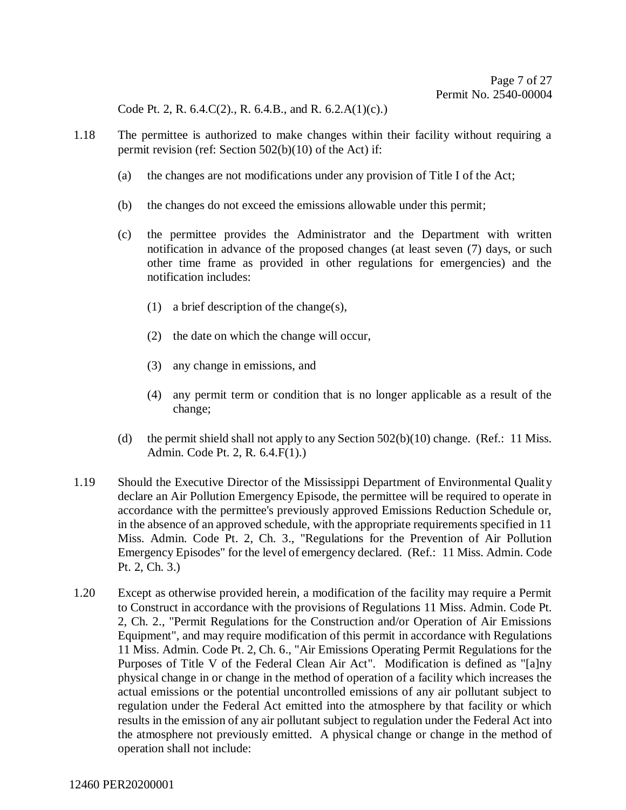Code Pt. 2, R. 6.4.C(2)., R. 6.4.B., and R. 6.2.A(1)(c).)

- 1.18 The permittee is authorized to make changes within their facility without requiring a permit revision (ref: Section 502(b)(10) of the Act) if:
	- (a) the changes are not modifications under any provision of Title I of the Act;
	- (b) the changes do not exceed the emissions allowable under this permit;
	- (c) the permittee provides the Administrator and the Department with written notification in advance of the proposed changes (at least seven (7) days, or such other time frame as provided in other regulations for emergencies) and the notification includes:
		- (1) a brief description of the change(s),
		- (2) the date on which the change will occur,
		- (3) any change in emissions, and
		- (4) any permit term or condition that is no longer applicable as a result of the change;
	- (d) the permit shield shall not apply to any Section 502(b)(10) change. (Ref.: 11 Miss. Admin. Code Pt. 2, R. 6.4.F(1).)
- 1.19 Should the Executive Director of the Mississippi Department of Environmental Quality declare an Air Pollution Emergency Episode, the permittee will be required to operate in accordance with the permittee's previously approved Emissions Reduction Schedule or, in the absence of an approved schedule, with the appropriate requirements specified in 11 Miss. Admin. Code Pt. 2, Ch. 3., "Regulations for the Prevention of Air Pollution Emergency Episodes" for the level of emergency declared. (Ref.: 11 Miss. Admin. Code Pt. 2, Ch. 3.)
- 1.20 Except as otherwise provided herein, a modification of the facility may require a Permit to Construct in accordance with the provisions of Regulations 11 Miss. Admin. Code Pt. 2, Ch. 2., "Permit Regulations for the Construction and/or Operation of Air Emissions Equipment", and may require modification of this permit in accordance with Regulations 11 Miss. Admin. Code Pt. 2, Ch. 6., "Air Emissions Operating Permit Regulations for the Purposes of Title V of the Federal Clean Air Act". Modification is defined as "[a]ny physical change in or change in the method of operation of a facility which increases the actual emissions or the potential uncontrolled emissions of any air pollutant subject to regulation under the Federal Act emitted into the atmosphere by that facility or which results in the emission of any air pollutant subject to regulation under the Federal Act into the atmosphere not previously emitted. A physical change or change in the method of operation shall not include: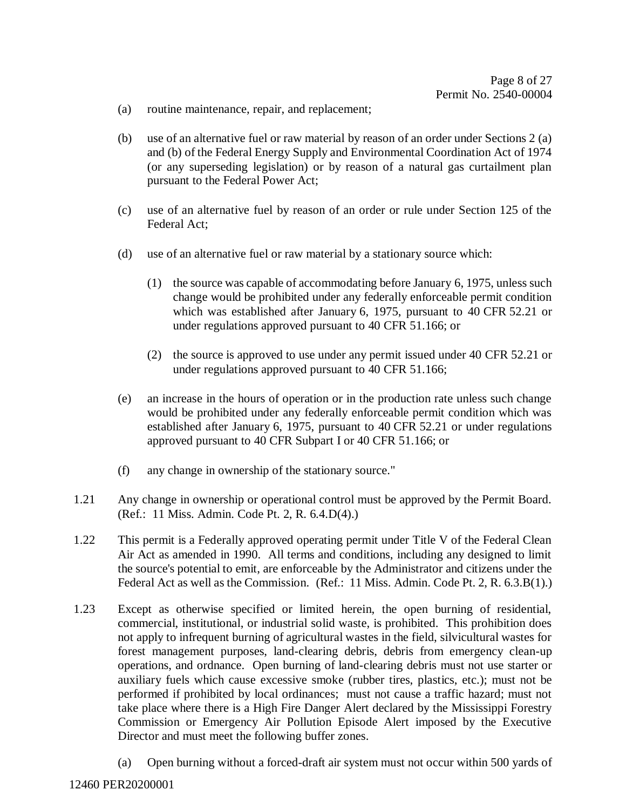- (a) routine maintenance, repair, and replacement;
- (b) use of an alternative fuel or raw material by reason of an order under Sections 2 (a) and (b) of the Federal Energy Supply and Environmental Coordination Act of 1974 (or any superseding legislation) or by reason of a natural gas curtailment plan pursuant to the Federal Power Act;
- (c) use of an alternative fuel by reason of an order or rule under Section 125 of the Federal Act;
- (d) use of an alternative fuel or raw material by a stationary source which:
	- (1) the source was capable of accommodating before January 6, 1975, unless such change would be prohibited under any federally enforceable permit condition which was established after January 6, 1975, pursuant to 40 CFR 52.21 or under regulations approved pursuant to 40 CFR 51.166; or
	- (2) the source is approved to use under any permit issued under 40 CFR 52.21 or under regulations approved pursuant to 40 CFR 51.166;
- (e) an increase in the hours of operation or in the production rate unless such change would be prohibited under any federally enforceable permit condition which was established after January 6, 1975, pursuant to 40 CFR 52.21 or under regulations approved pursuant to 40 CFR Subpart I or 40 CFR 51.166; or
- (f) any change in ownership of the stationary source."
- 1.21 Any change in ownership or operational control must be approved by the Permit Board. (Ref.: 11 Miss. Admin. Code Pt. 2, R. 6.4.D(4).)
- 1.22 This permit is a Federally approved operating permit under Title V of the Federal Clean Air Act as amended in 1990. All terms and conditions, including any designed to limit the source's potential to emit, are enforceable by the Administrator and citizens under the Federal Act as well as the Commission. (Ref.: 11 Miss. Admin. Code Pt. 2, R. 6.3.B(1).)
- 1.23 Except as otherwise specified or limited herein, the open burning of residential, commercial, institutional, or industrial solid waste, is prohibited. This prohibition does not apply to infrequent burning of agricultural wastes in the field, silvicultural wastes for forest management purposes, land-clearing debris, debris from emergency clean-up operations, and ordnance. Open burning of land-clearing debris must not use starter or auxiliary fuels which cause excessive smoke (rubber tires, plastics, etc.); must not be performed if prohibited by local ordinances; must not cause a traffic hazard; must not take place where there is a High Fire Danger Alert declared by the Mississippi Forestry Commission or Emergency Air Pollution Episode Alert imposed by the Executive Director and must meet the following buffer zones.
	- (a) Open burning without a forced-draft air system must not occur within 500 yards of

#### 12460 PER20200001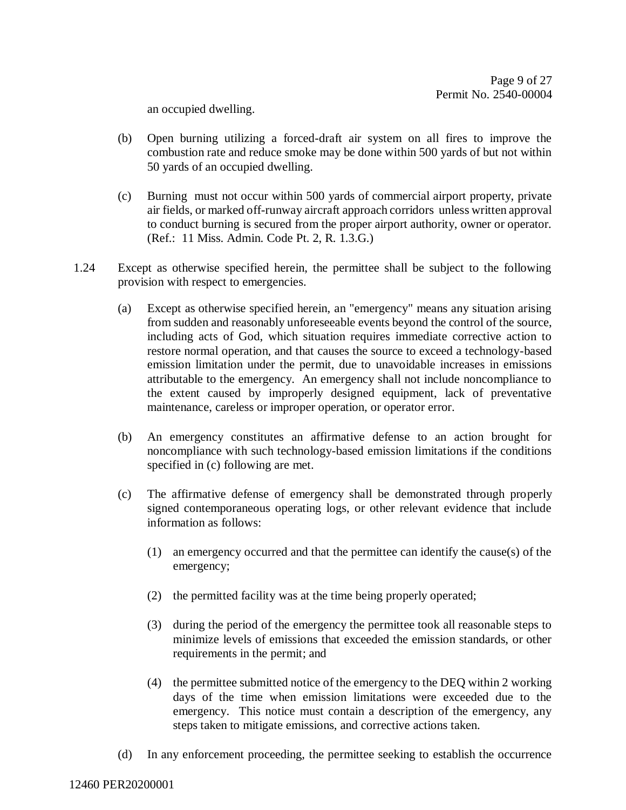an occupied dwelling.

- (b) Open burning utilizing a forced-draft air system on all fires to improve the combustion rate and reduce smoke may be done within 500 yards of but not within 50 yards of an occupied dwelling.
- (c) Burning must not occur within 500 yards of commercial airport property, private air fields, or marked off-runway aircraft approach corridors unless written approval to conduct burning is secured from the proper airport authority, owner or operator. (Ref.: 11 Miss. Admin. Code Pt. 2, R. 1.3.G.)
- 1.24 Except as otherwise specified herein, the permittee shall be subject to the following provision with respect to emergencies.
	- (a) Except as otherwise specified herein, an "emergency" means any situation arising from sudden and reasonably unforeseeable events beyond the control of the source, including acts of God, which situation requires immediate corrective action to restore normal operation, and that causes the source to exceed a technology-based emission limitation under the permit, due to unavoidable increases in emissions attributable to the emergency. An emergency shall not include noncompliance to the extent caused by improperly designed equipment, lack of preventative maintenance, careless or improper operation, or operator error.
	- (b) An emergency constitutes an affirmative defense to an action brought for noncompliance with such technology-based emission limitations if the conditions specified in (c) following are met.
	- (c) The affirmative defense of emergency shall be demonstrated through properly signed contemporaneous operating logs, or other relevant evidence that include information as follows:
		- (1) an emergency occurred and that the permittee can identify the cause(s) of the emergency;
		- (2) the permitted facility was at the time being properly operated;
		- (3) during the period of the emergency the permittee took all reasonable steps to minimize levels of emissions that exceeded the emission standards, or other requirements in the permit; and
		- (4) the permittee submitted notice of the emergency to the DEQ within 2 working days of the time when emission limitations were exceeded due to the emergency. This notice must contain a description of the emergency, any steps taken to mitigate emissions, and corrective actions taken.
	- (d) In any enforcement proceeding, the permittee seeking to establish the occurrence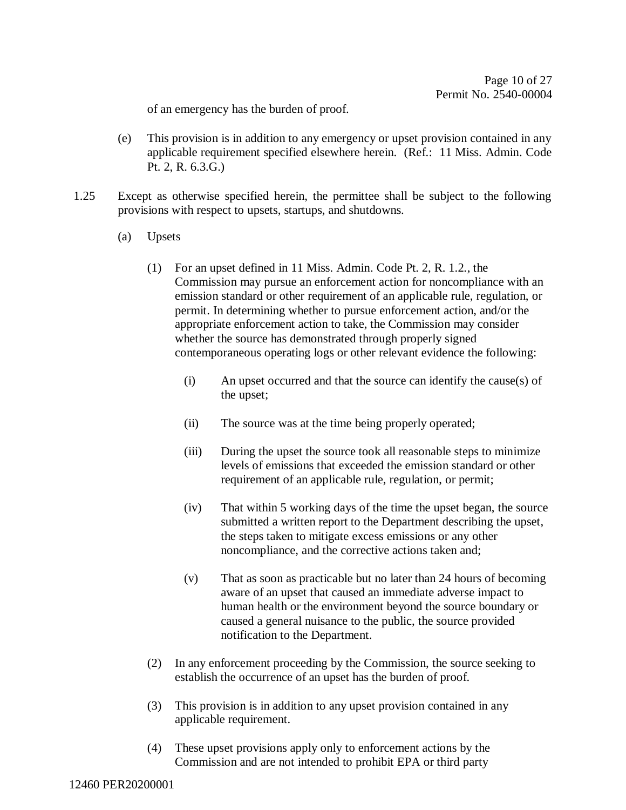of an emergency has the burden of proof.

- (e) This provision is in addition to any emergency or upset provision contained in any applicable requirement specified elsewhere herein. (Ref.: 11 Miss. Admin. Code Pt. 2, R. 6.3.G.)
- 1.25 Except as otherwise specified herein, the permittee shall be subject to the following provisions with respect to upsets, startups, and shutdowns.
	- (a) Upsets
		- (1) For an upset defined in 11 Miss. Admin. Code Pt. 2, R. 1.2., the Commission may pursue an enforcement action for noncompliance with an emission standard or other requirement of an applicable rule, regulation, or permit. In determining whether to pursue enforcement action, and/or the appropriate enforcement action to take, the Commission may consider whether the source has demonstrated through properly signed contemporaneous operating logs or other relevant evidence the following:
			- (i) An upset occurred and that the source can identify the cause(s) of the upset;
			- (ii) The source was at the time being properly operated;
			- (iii) During the upset the source took all reasonable steps to minimize levels of emissions that exceeded the emission standard or other requirement of an applicable rule, regulation, or permit;
			- (iv) That within 5 working days of the time the upset began, the source submitted a written report to the Department describing the upset, the steps taken to mitigate excess emissions or any other noncompliance, and the corrective actions taken and;
			- (v) That as soon as practicable but no later than 24 hours of becoming aware of an upset that caused an immediate adverse impact to human health or the environment beyond the source boundary or caused a general nuisance to the public, the source provided notification to the Department.
		- (2) In any enforcement proceeding by the Commission, the source seeking to establish the occurrence of an upset has the burden of proof.
		- (3) This provision is in addition to any upset provision contained in any applicable requirement.
		- (4) These upset provisions apply only to enforcement actions by the Commission and are not intended to prohibit EPA or third party

12460 PER20200001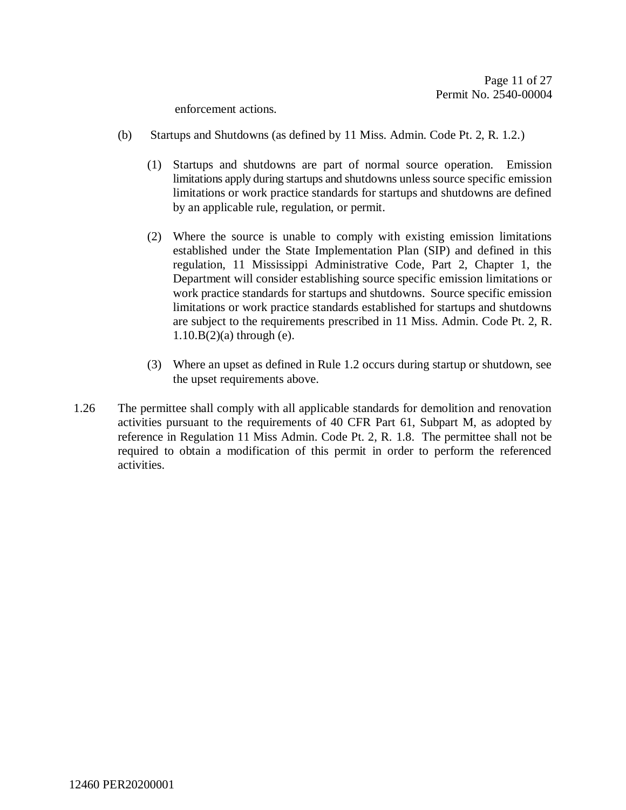enforcement actions.

- (b) Startups and Shutdowns (as defined by 11 Miss. Admin. Code Pt. 2, R. 1.2.)
	- (1) Startups and shutdowns are part of normal source operation. Emission limitations apply during startups and shutdowns unless source specific emission limitations or work practice standards for startups and shutdowns are defined by an applicable rule, regulation, or permit.
	- (2) Where the source is unable to comply with existing emission limitations established under the State Implementation Plan (SIP) and defined in this regulation, 11 Mississippi Administrative Code, Part 2, Chapter 1, the Department will consider establishing source specific emission limitations or work practice standards for startups and shutdowns. Source specific emission limitations or work practice standards established for startups and shutdowns are subject to the requirements prescribed in 11 Miss. Admin. Code Pt. 2, R.  $1.10.B(2)$ (a) through (e).
	- (3) Where an upset as defined in Rule 1.2 occurs during startup or shutdown, see the upset requirements above.
- 1.26 The permittee shall comply with all applicable standards for demolition and renovation activities pursuant to the requirements of 40 CFR Part 61, Subpart M, as adopted by reference in Regulation 11 Miss Admin. Code Pt. 2, R. 1.8. The permittee shall not be required to obtain a modification of this permit in order to perform the referenced activities.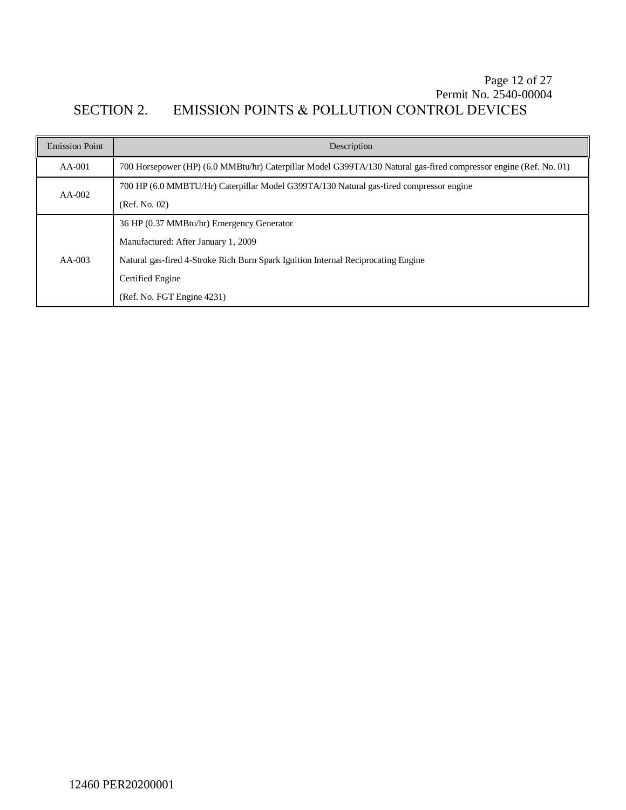### Page 12 of [27](#page-26-0) Permit No. 2540-00004 SECTION 2. EMISSION POINTS & POLLUTION CONTROL DEVICES

| <b>Emission Point</b> | Description                                                                                                       |  |
|-----------------------|-------------------------------------------------------------------------------------------------------------------|--|
| $AA-001$              | 700 Horsepower (HP) (6.0 MMBtu/hr) Caterpillar Model G399TA/130 Natural gas-fired compressor engine (Ref. No. 01) |  |
| $AA-002$              | 700 HP (6.0 MMBTU/Hr) Caterpillar Model G399TA/130 Natural gas-fired compressor engine                            |  |
|                       | (Ref. No. 02)                                                                                                     |  |
| $AA-003$              | 36 HP (0.37 MMBtu/hr) Emergency Generator                                                                         |  |
|                       | Manufactured: After January 1, 2009                                                                               |  |
|                       | Natural gas-fired 4-Stroke Rich Burn Spark Ignition Internal Reciprocating Engine                                 |  |
|                       | Certified Engine                                                                                                  |  |
|                       | (Ref. No. FGT Engine 4231)                                                                                        |  |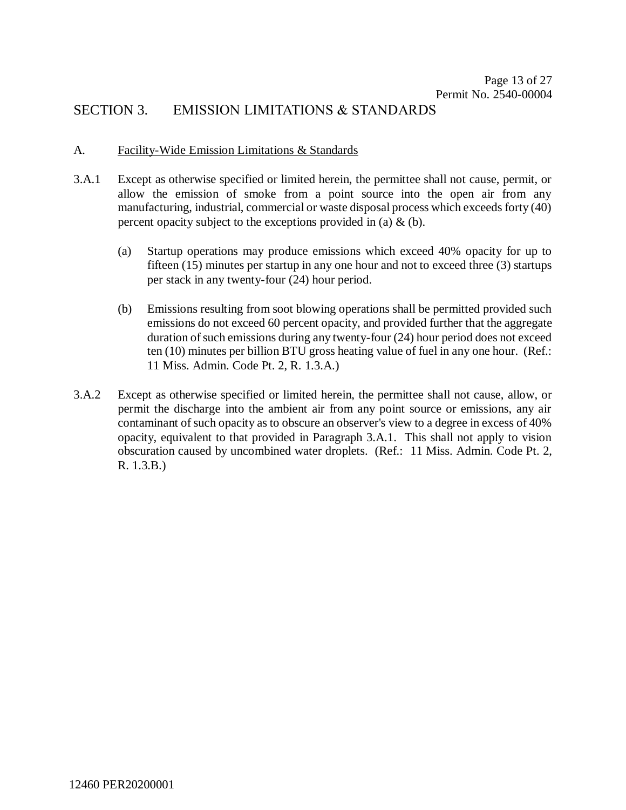### SECTION 3. EMISSION LIMITATIONS & STANDARDS

#### A. Facility-Wide Emission Limitations & Standards

- 3.A.1 Except as otherwise specified or limited herein, the permittee shall not cause, permit, or allow the emission of smoke from a point source into the open air from any manufacturing, industrial, commercial or waste disposal process which exceeds forty (40) percent opacity subject to the exceptions provided in (a)  $\&$  (b).
	- (a) Startup operations may produce emissions which exceed 40% opacity for up to fifteen (15) minutes per startup in any one hour and not to exceed three (3) startups per stack in any twenty-four (24) hour period.
	- (b) Emissions resulting from soot blowing operations shall be permitted provided such emissions do not exceed 60 percent opacity, and provided further that the aggregate duration of such emissions during any twenty-four (24) hour period does not exceed ten (10) minutes per billion BTU gross heating value of fuel in any one hour. (Ref.: 11 Miss. Admin. Code Pt. 2, R. 1.3.A.)
- 3.A.2 Except as otherwise specified or limited herein, the permittee shall not cause, allow, or permit the discharge into the ambient air from any point source or emissions, any air contaminant of such opacity as to obscure an observer's view to a degree in excess of 40% opacity, equivalent to that provided in Paragraph 3.A.1. This shall not apply to vision obscuration caused by uncombined water droplets. (Ref.: 11 Miss. Admin. Code Pt. 2, R. 1.3.B.)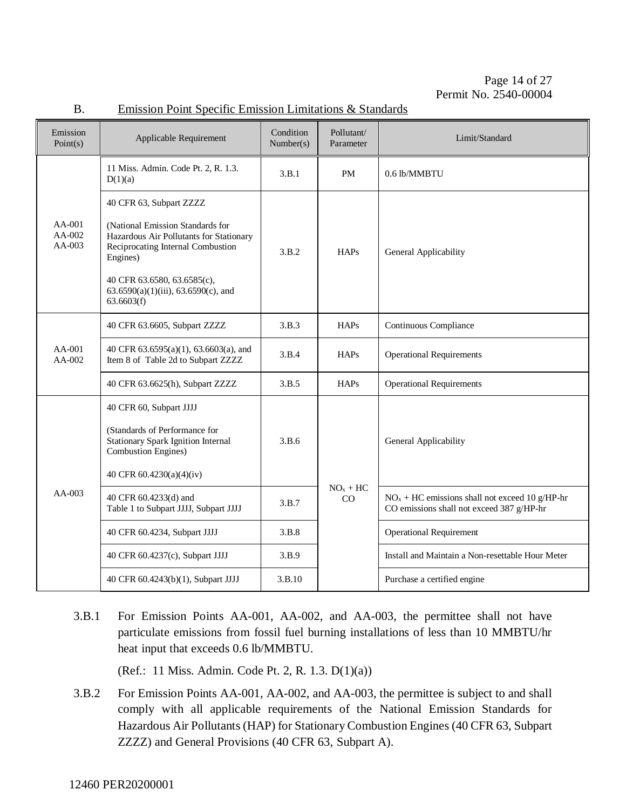Page 14 of [27](#page-26-0) Permit No. 2540-00004

| Emission<br>Point(s)         | Applicable Requirement                                                                                                                                                                                                                      | Condition<br>Number(s) | Pollutant/<br>Parameter | Limit/Standard                                                                                |
|------------------------------|---------------------------------------------------------------------------------------------------------------------------------------------------------------------------------------------------------------------------------------------|------------------------|-------------------------|-----------------------------------------------------------------------------------------------|
|                              | 11 Miss. Admin. Code Pt. 2, R. 1.3.<br>D(1)(a)                                                                                                                                                                                              | 3.B.1                  | PM                      | 0.6 lb/MMBTU                                                                                  |
| $AA-001$<br>AA-002<br>AA-003 | 40 CFR 63, Subpart ZZZZ<br>(National Emission Standards for<br>Hazardous Air Pollutants for Stationary<br>Reciprocating Internal Combustion<br>Engines)<br>40 CFR 63.6580, 63.6585(c),<br>63.6590(a)(1)(iii), 63.6590(c), and<br>63.6603(f) | 3.B.2                  | <b>HAPs</b>             | General Applicability                                                                         |
| $AA-001$<br>AA-002           | 40 CFR 63.6605, Subpart ZZZZ                                                                                                                                                                                                                | 3.B.3                  | <b>HAPs</b>             | Continuous Compliance                                                                         |
|                              | 40 CFR 63.6595(a)(1), 63.6603(a), and<br>Item 8 of Table 2d to Subpart ZZZZ                                                                                                                                                                 | 3.B.4                  | <b>HAPs</b>             | <b>Operational Requirements</b>                                                               |
|                              | 40 CFR 63.6625(h), Subpart ZZZZ                                                                                                                                                                                                             | 3.B.5                  | <b>HAPs</b>             | <b>Operational Requirements</b>                                                               |
| AA-003                       | 40 CFR 60, Subpart JJJJ<br>(Standards of Performance for<br><b>Stationary Spark Ignition Internal</b><br><b>Combustion Engines</b> )<br>40 CFR 60.4230(a)(4)(iv)                                                                            | 3.B.6                  |                         | General Applicability                                                                         |
|                              | 40 CFR 60.4233(d) and<br>Table 1 to Subpart JJJJ, Subpart JJJJ                                                                                                                                                                              | 3.B.7                  | $NOx + HC$<br>CO        | $NOx + HC$ emissions shall not exceed 10 g/HP-hr<br>CO emissions shall not exceed 387 g/HP-hr |
|                              | 40 CFR 60.4234, Subpart JJJJ                                                                                                                                                                                                                | 3.B.8                  |                         | <b>Operational Requirement</b>                                                                |
|                              | 40 CFR 60.4237(c), Subpart JJJJ                                                                                                                                                                                                             | 3.B.9                  |                         | Install and Maintain a Non-resettable Hour Meter                                              |

#### B. Emission Point Specific Emission Limitations & Standards

3.B.1 For Emission Points AA-001, AA-002, and AA-003, the permittee shall not have particulate emissions from fossil fuel burning installations of less than 10 MMBTU/hr heat input that exceeds 0.6 lb/MMBTU.

40 CFR 60.4243(b)(1), Subpart JJJJ 3.B.10 Purchase a certified engine

(Ref.: 11 Miss. Admin. Code Pt. 2, R. 1.3. D(1)(a))

3.B.2 For Emission Points AA-001, AA-002, and AA-003, the permittee is subject to and shall comply with all applicable requirements of the National Emission Standards for Hazardous Air Pollutants (HAP) for Stationary Combustion Engines (40 CFR 63, Subpart ZZZZ) and General Provisions (40 CFR 63, Subpart A).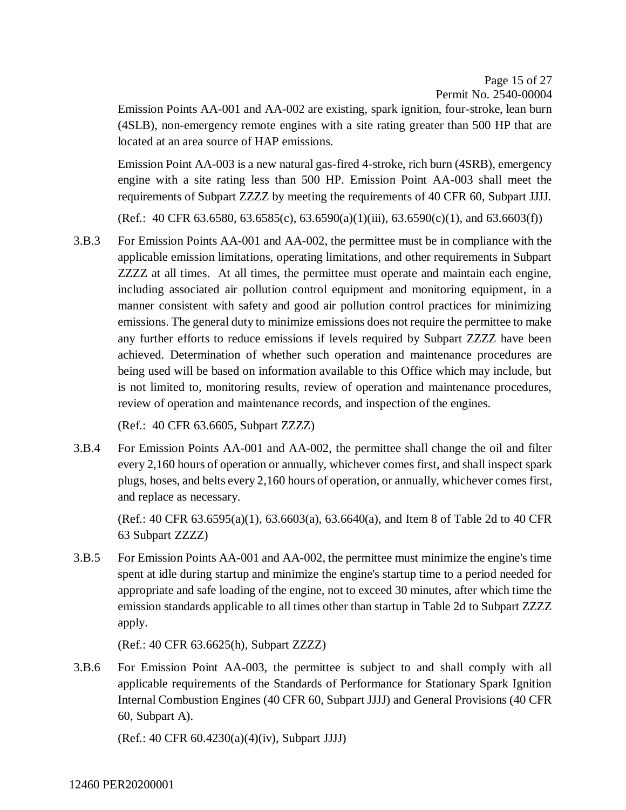Page 15 of [27](#page-26-0) Permit No. 2540-00004

Emission Points AA-001 and AA-002 are existing, spark ignition, four-stroke, lean burn (4SLB), non-emergency remote engines with a site rating greater than 500 HP that are located at an area source of HAP emissions.

Emission Point AA-003 is a new natural gas-fired 4-stroke, rich burn (4SRB), emergency engine with a site rating less than 500 HP. Emission Point AA-003 shall meet the requirements of Subpart ZZZZ by meeting the requirements of 40 CFR 60, Subpart JJJJ.

(Ref.: 40 CFR 63.6580, 63.6585(c), 63.6590(a)(1)(iii), 63.6590(c)(1), and 63.6603(f))

3.B.3 For Emission Points AA-001 and AA-002, the permittee must be in compliance with the applicable emission limitations, operating limitations, and other requirements in Subpart ZZZZ at all times. At all times, the permittee must operate and maintain each engine, including associated air pollution control equipment and monitoring equipment, in a manner consistent with safety and good air pollution control practices for minimizing emissions. The general duty to minimize emissions does not require the permittee to make any further efforts to reduce emissions if levels required by Subpart ZZZZ have been achieved. Determination of whether such operation and maintenance procedures are being used will be based on information available to this Office which may include, but is not limited to, monitoring results, review of operation and maintenance procedures, review of operation and maintenance records, and inspection of the engines.

(Ref.: 40 CFR 63.6605, Subpart ZZZZ)

3.B.4 For Emission Points AA-001 and AA-002, the permittee shall change the oil and filter every 2,160 hours of operation or annually, whichever comes first, and shall inspect spark plugs, hoses, and belts every 2,160 hours of operation, or annually, whichever comes first, and replace as necessary.

 $(Ref.: 40 CFR 63.6595(a)(1), 63.6603(a), 63.6640(a), and Item 8 of Table 2d to 40 CFR$ 63 Subpart ZZZZ)

3.B.5 For Emission Points AA-001 and AA-002, the permittee must minimize the engine's time spent at idle during startup and minimize the engine's startup time to a period needed for appropriate and safe loading of the engine, not to exceed 30 minutes, after which time the emission standards applicable to all times other than startup in Table 2d to Subpart ZZZZ apply.

(Ref.: 40 CFR 63.6625(h), Subpart ZZZZ)

3.B.6 For Emission Point AA-003, the permittee is subject to and shall comply with all applicable requirements of the Standards of Performance for Stationary Spark Ignition Internal Combustion Engines (40 CFR 60, Subpart JJJJ) and General Provisions (40 CFR 60, Subpart A).

(Ref.: 40 CFR 60.4230(a)(4)(iv), Subpart JJJJ)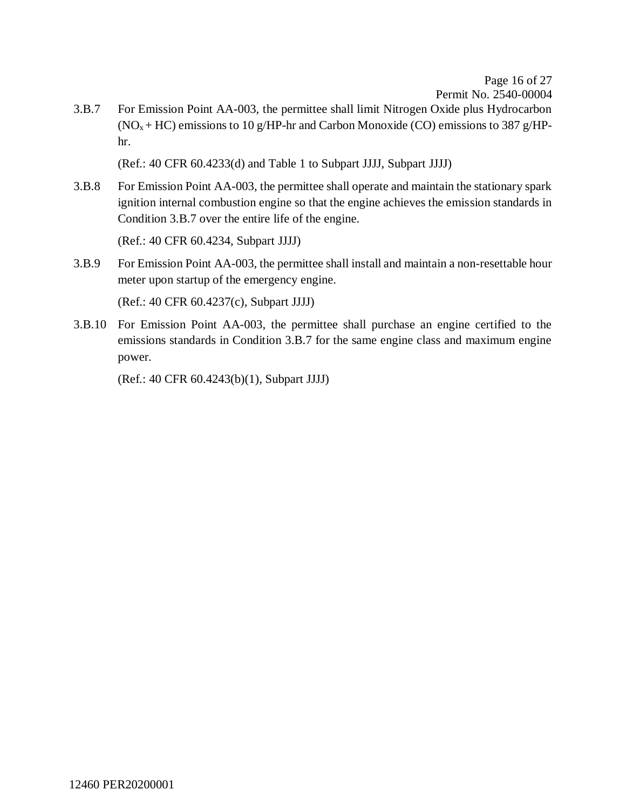Page 16 of [27](#page-26-0) Permit No. 2540-00004

3.B.7 For Emission Point AA-003, the permittee shall limit Nitrogen Oxide plus Hydrocarbon  $(NO<sub>x</sub> + HC)$  emissions to 10 g/HP-hr and Carbon Monoxide (CO) emissions to 387 g/HPhr.

(Ref.: 40 CFR 60.4233(d) and Table 1 to Subpart JJJJ, Subpart JJJJ)

3.B.8 For Emission Point AA-003, the permittee shall operate and maintain the stationary spark ignition internal combustion engine so that the engine achieves the emission standards in Condition 3.B.7 over the entire life of the engine.

(Ref.: 40 CFR 60.4234, Subpart JJJJ)

3.B.9 For Emission Point AA-003, the permittee shall install and maintain a non-resettable hour meter upon startup of the emergency engine.

(Ref.: 40 CFR 60.4237(c), Subpart JJJJ)

3.B.10 For Emission Point AA-003, the permittee shall purchase an engine certified to the emissions standards in Condition 3.B.7 for the same engine class and maximum engine power.

(Ref.: 40 CFR 60.4243(b)(1), Subpart JJJJ)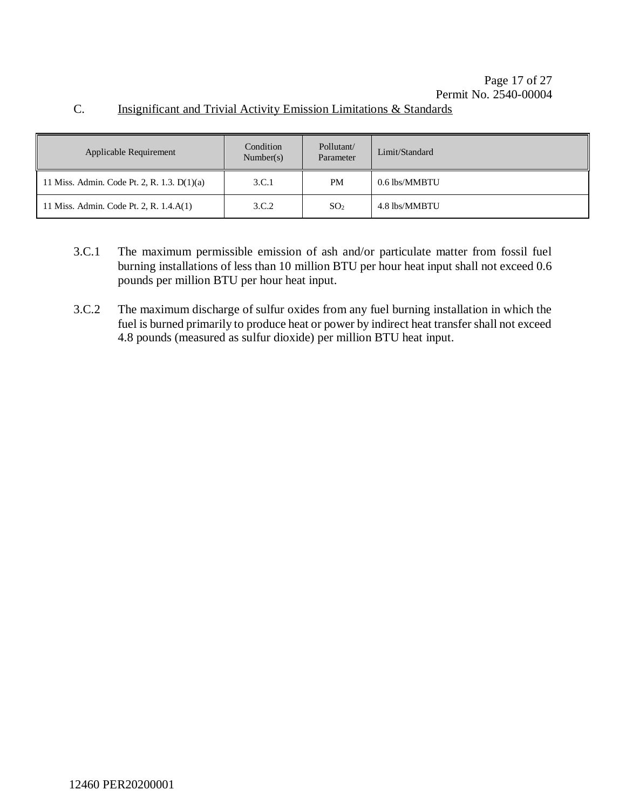## C. Insignificant and Trivial Activity Emission Limitations & Standards

| Applicable Requirement                      | Condition<br>Number(s) | Pollutant/<br>Parameter | Limit/Standard |
|---------------------------------------------|------------------------|-------------------------|----------------|
| 11 Miss. Admin. Code Pt. 2, R. 1.3. D(1)(a) | 3.C.1                  | PM                      | 0.6 lbs/MMBTU  |
| 11 Miss. Admin. Code Pt. 2, R. 1.4.A(1)     | 3.C.2                  | SO <sub>2</sub>         | 4.8 lbs/MMBTU  |

- 3.C.1 The maximum permissible emission of ash and/or particulate matter from fossil fuel burning installations of less than 10 million BTU per hour heat input shall not exceed 0.6 pounds per million BTU per hour heat input.
- 3.C.2 The maximum discharge of sulfur oxides from any fuel burning installation in which the fuel is burned primarily to produce heat or power by indirect heat transfer shall not exceed 4.8 pounds (measured as sulfur dioxide) per million BTU heat input.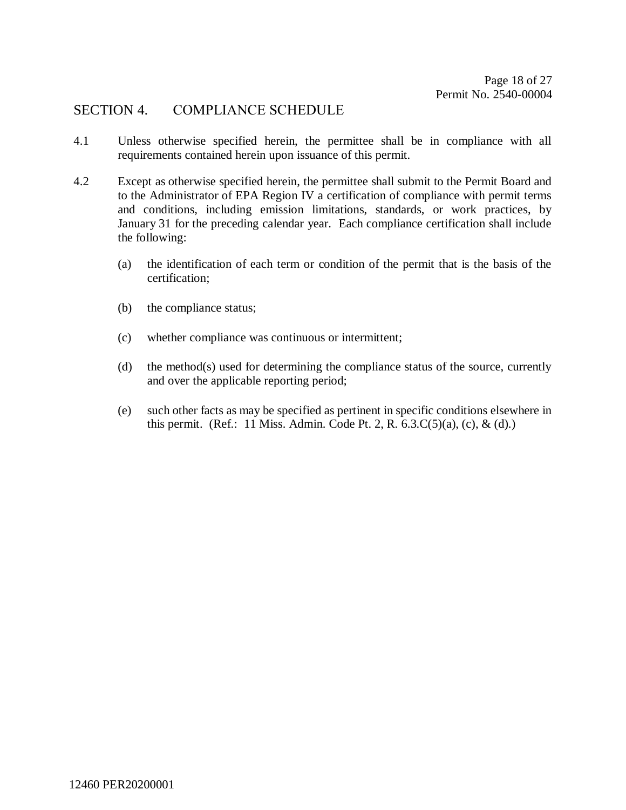### SECTION 4. COMPLIANCE SCHEDULE

- 4.1 Unless otherwise specified herein, the permittee shall be in compliance with all requirements contained herein upon issuance of this permit.
- 4.2 Except as otherwise specified herein, the permittee shall submit to the Permit Board and to the Administrator of EPA Region IV a certification of compliance with permit terms and conditions, including emission limitations, standards, or work practices, by January 31 for the preceding calendar year. Each compliance certification shall include the following:
	- (a) the identification of each term or condition of the permit that is the basis of the certification;
	- (b) the compliance status;
	- (c) whether compliance was continuous or intermittent;
	- (d) the method(s) used for determining the compliance status of the source, currently and over the applicable reporting period;
	- (e) such other facts as may be specified as pertinent in specific conditions elsewhere in this permit. (Ref.: 11 Miss. Admin. Code Pt. 2, R.  $6.3(C(5)(a), (c), \& (d).)$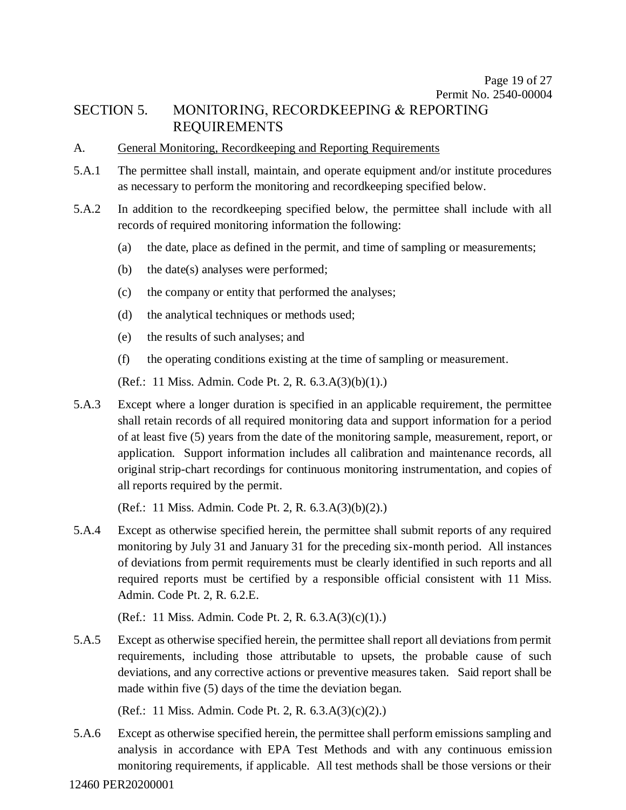## SECTION 5. MONITORING, RECORDKEEPING & REPORTING REQUIREMENTS

#### A. General Monitoring, Recordkeeping and Reporting Requirements

- 5.A.1 The permittee shall install, maintain, and operate equipment and/or institute procedures as necessary to perform the monitoring and recordkeeping specified below.
- 5.A.2 In addition to the recordkeeping specified below, the permittee shall include with all records of required monitoring information the following:
	- (a) the date, place as defined in the permit, and time of sampling or measurements;
	- (b) the date(s) analyses were performed;
	- (c) the company or entity that performed the analyses;
	- (d) the analytical techniques or methods used;
	- (e) the results of such analyses; and
	- (f) the operating conditions existing at the time of sampling or measurement.

(Ref.: 11 Miss. Admin. Code Pt. 2, R. 6.3.A(3)(b)(1).)

5.A.3 Except where a longer duration is specified in an applicable requirement, the permittee shall retain records of all required monitoring data and support information for a period of at least five (5) years from the date of the monitoring sample, measurement, report, or application. Support information includes all calibration and maintenance records, all original strip-chart recordings for continuous monitoring instrumentation, and copies of all reports required by the permit.

(Ref.: 11 Miss. Admin. Code Pt. 2, R. 6.3.A(3)(b)(2).)

5.A.4 Except as otherwise specified herein, the permittee shall submit reports of any required monitoring by July 31 and January 31 for the preceding six-month period. All instances of deviations from permit requirements must be clearly identified in such reports and all required reports must be certified by a responsible official consistent with 11 Miss. Admin. Code Pt. 2, R. 6.2.E.

(Ref.: 11 Miss. Admin. Code Pt. 2, R. 6.3.A(3)(c)(1).)

5.A.5 Except as otherwise specified herein, the permittee shall report all deviations from permit requirements, including those attributable to upsets, the probable cause of such deviations, and any corrective actions or preventive measures taken. Said report shall be made within five (5) days of the time the deviation began.

(Ref.: 11 Miss. Admin. Code Pt. 2, R. 6.3.A(3)(c)(2).)

5.A.6 Except as otherwise specified herein, the permittee shall perform emissions sampling and analysis in accordance with EPA Test Methods and with any continuous emission monitoring requirements, if applicable. All test methods shall be those versions or their

12460 PER20200001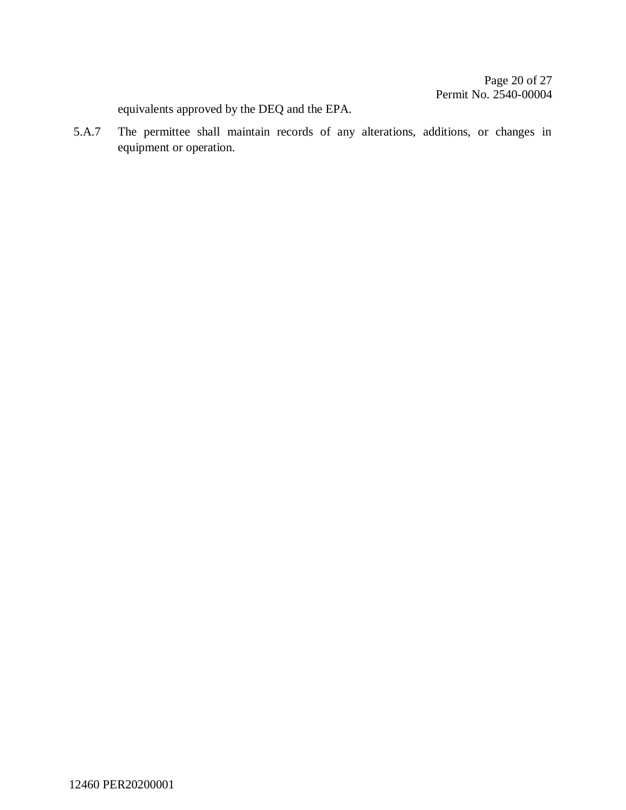equivalents approved by the DEQ and the EPA.

5.A.7 The permittee shall maintain records of any alterations, additions, or changes in equipment or operation.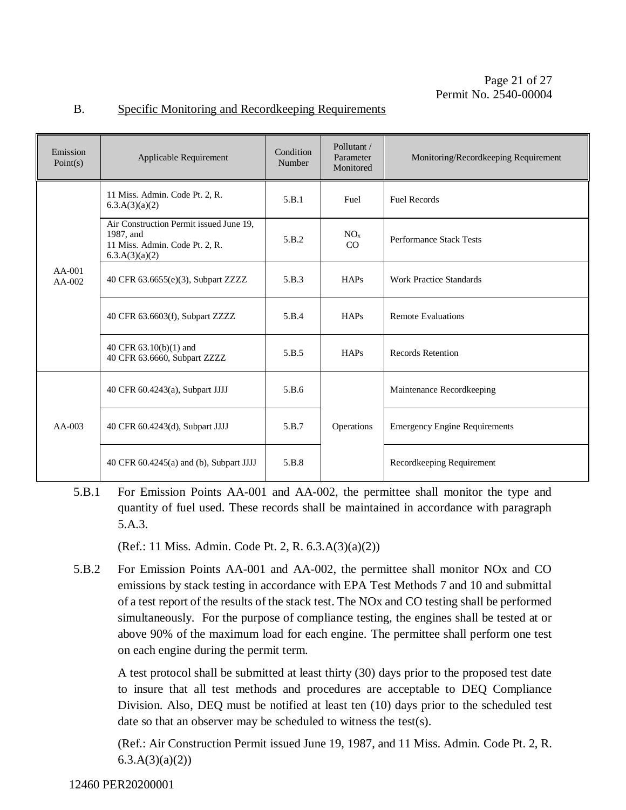| Emission<br>Point(s) | Applicable Requirement                                                                                   | Condition<br>Number | Pollutant /<br>Parameter<br>Monitored | Monitoring/Recordkeeping Requirement |
|----------------------|----------------------------------------------------------------------------------------------------------|---------------------|---------------------------------------|--------------------------------------|
| $AA-001$<br>$AA-002$ | 11 Miss. Admin. Code Pt. 2, R.<br>6.3.A(3)(a)(2)                                                         | 5.B.1               | Fuel                                  | <b>Fuel Records</b>                  |
|                      | Air Construction Permit issued June 19,<br>1987, and<br>11 Miss. Admin. Code Pt. 2, R.<br>6.3.A(3)(a)(2) | 5.B.2               | NO <sub>x</sub><br>CO                 | <b>Performance Stack Tests</b>       |
|                      | 40 CFR 63.6655(e)(3), Subpart ZZZZ                                                                       | 5.B.3               | <b>HAPs</b>                           | <b>Work Practice Standards</b>       |
|                      | 40 CFR 63.6603(f), Subpart ZZZZ                                                                          | 5.B.4               | HAPs                                  | <b>Remote Evaluations</b>            |
|                      | 40 CFR 63.10(b)(1) and<br>40 CFR 63.6660, Subpart ZZZZ                                                   | 5.B.5               | HAPs                                  | <b>Records Retention</b>             |
| $AA-003$             | 40 CFR 60.4243(a), Subpart JJJJ                                                                          | 5.B.6               |                                       | Maintenance Recordkeeping            |
|                      | 40 CFR 60.4243(d), Subpart JJJJ                                                                          | 5.B.7               | Operations                            | <b>Emergency Engine Requirements</b> |
|                      | 40 CFR 60.4245(a) and (b), Subpart JJJJ                                                                  | 5.B.8               |                                       | Recordkeeping Requirement            |

#### B. Specific Monitoring and Recordkeeping Requirements

5.B.1 For Emission Points AA-001 and AA-002, the permittee shall monitor the type and quantity of fuel used. These records shall be maintained in accordance with paragraph 5.A.3.

(Ref.: 11 Miss. Admin. Code Pt. 2, R. 6.3.A(3)(a)(2))

5.B.2 For Emission Points AA-001 and AA-002, the permittee shall monitor NOx and CO emissions by stack testing in accordance with EPA Test Methods 7 and 10 and submittal of a test report of the results of the stack test. The NOx and CO testing shall be performed simultaneously. For the purpose of compliance testing, the engines shall be tested at or above 90% of the maximum load for each engine. The permittee shall perform one test on each engine during the permit term.

A test protocol shall be submitted at least thirty (30) days prior to the proposed test date to insure that all test methods and procedures are acceptable to DEQ Compliance Division. Also, DEQ must be notified at least ten (10) days prior to the scheduled test date so that an observer may be scheduled to witness the test(s).

(Ref.: Air Construction Permit issued June 19, 1987, and 11 Miss. Admin. Code Pt. 2, R.  $6.3.A(3)(a)(2)$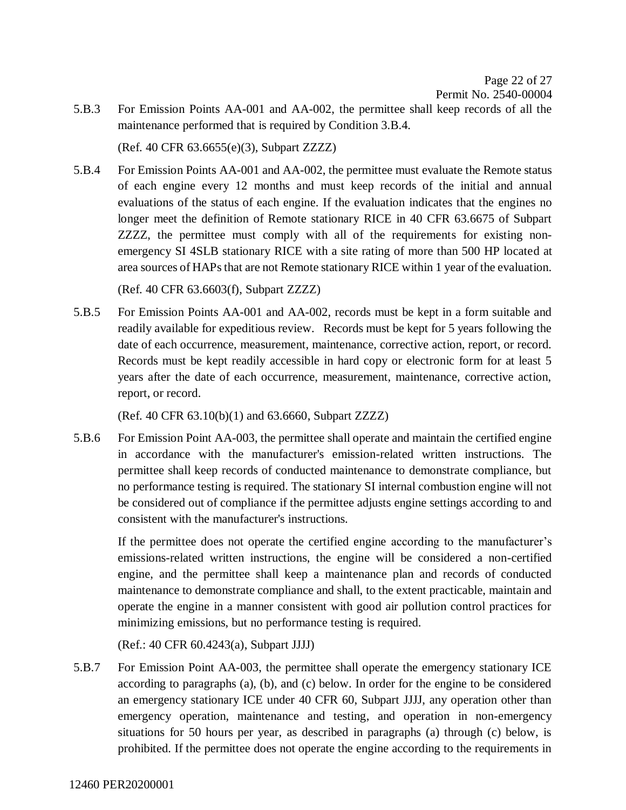5.B.3 For Emission Points AA-001 and AA-002, the permittee shall keep records of all the maintenance performed that is required by Condition 3.B.4.

(Ref. 40 CFR 63.6655(e)(3), Subpart ZZZZ)

5.B.4 For Emission Points AA-001 and AA-002, the permittee must evaluate the Remote status of each engine every 12 months and must keep records of the initial and annual evaluations of the status of each engine. If the evaluation indicates that the engines no longer meet the definition of Remote stationary RICE in 40 CFR 63.6675 of Subpart ZZZZ, the permittee must comply with all of the requirements for existing nonemergency SI 4SLB stationary RICE with a site rating of more than 500 HP located at area sources of HAPs that are not Remote stationary RICE within 1 year of the evaluation.

(Ref. 40 CFR 63.6603(f), Subpart ZZZZ)

5.B.5 For Emission Points AA-001 and AA-002, records must be kept in a form suitable and readily available for expeditious review. Records must be kept for 5 years following the date of each occurrence, measurement, maintenance, corrective action, report, or record. Records must be kept readily accessible in hard copy or electronic form for at least 5 years after the date of each occurrence, measurement, maintenance, corrective action, report, or record.

(Ref. 40 CFR 63.10(b)(1) and 63.6660, Subpart ZZZZ)

5.B.6 For Emission Point AA-003, the permittee shall operate and maintain the certified engine in accordance with the manufacturer's emission-related written instructions. The permittee shall keep records of conducted maintenance to demonstrate compliance, but no performance testing is required. The stationary SI internal combustion engine will not be considered out of compliance if the permittee adjusts engine settings according to and consistent with the manufacturer's instructions.

If the permittee does not operate the certified engine according to the manufacturer's emissions-related written instructions, the engine will be considered a non-certified engine, and the permittee shall keep a maintenance plan and records of conducted maintenance to demonstrate compliance and shall, to the extent practicable, maintain and operate the engine in a manner consistent with good air pollution control practices for minimizing emissions, but no performance testing is required.

(Ref.: 40 CFR 60.4243(a), Subpart JJJJ)

5.B.7 For Emission Point AA-003, the permittee shall operate the emergency stationary ICE according to paragraphs (a), (b), and (c) below. In order for the engine to be considered an emergency stationary ICE under 40 CFR 60, Subpart JJJJ, any operation other than emergency operation, maintenance and testing, and operation in non-emergency situations for 50 hours per year, as described in paragraphs (a) through (c) below, is prohibited. If the permittee does not operate the engine according to the requirements in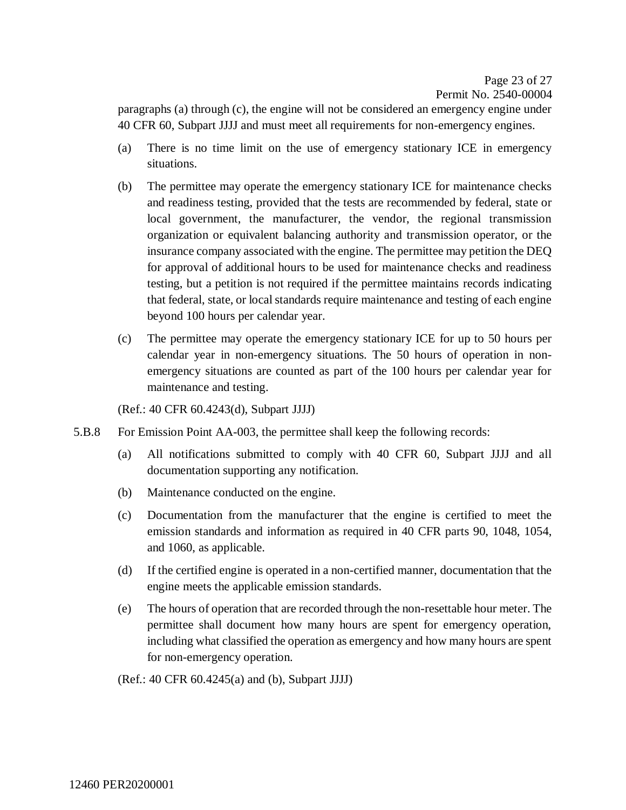Page 23 of [27](#page-26-0) Permit No. 2540-00004

paragraphs (a) through (c), the engine will not be considered an emergency engine under 40 CFR 60, Subpart JJJJ and must meet all requirements for non-emergency engines.

- (a) There is no time limit on the use of emergency stationary ICE in emergency situations.
- (b) The permittee may operate the emergency stationary ICE for maintenance checks and readiness testing, provided that the tests are recommended by federal, state or local government, the manufacturer, the vendor, the regional transmission organization or equivalent balancing authority and transmission operator, or the insurance company associated with the engine. The permittee may petition the DEQ for approval of additional hours to be used for maintenance checks and readiness testing, but a petition is not required if the permittee maintains records indicating that federal, state, or local standards require maintenance and testing of each engine beyond 100 hours per calendar year.
- (c) The permittee may operate the emergency stationary ICE for up to 50 hours per calendar year in non-emergency situations. The 50 hours of operation in nonemergency situations are counted as part of the 100 hours per calendar year for maintenance and testing.

(Ref.: 40 CFR 60.4243(d), Subpart JJJJ)

- 5.B.8 For Emission Point AA-003, the permittee shall keep the following records:
	- (a) All notifications submitted to comply with 40 CFR 60, Subpart JJJJ and all documentation supporting any notification.
	- (b) Maintenance conducted on the engine.
	- (c) Documentation from the manufacturer that the engine is certified to meet the emission standards and information as required in 40 CFR parts 90, 1048, 1054, and 1060, as applicable.
	- (d) If the certified engine is operated in a non-certified manner, documentation that the engine meets the applicable emission standards.
	- (e) The hours of operation that are recorded through the non-resettable hour meter. The permittee shall document how many hours are spent for emergency operation, including what classified the operation as emergency and how many hours are spent for non-emergency operation.

(Ref.: 40 CFR 60.4245(a) and (b), Subpart JJJJ)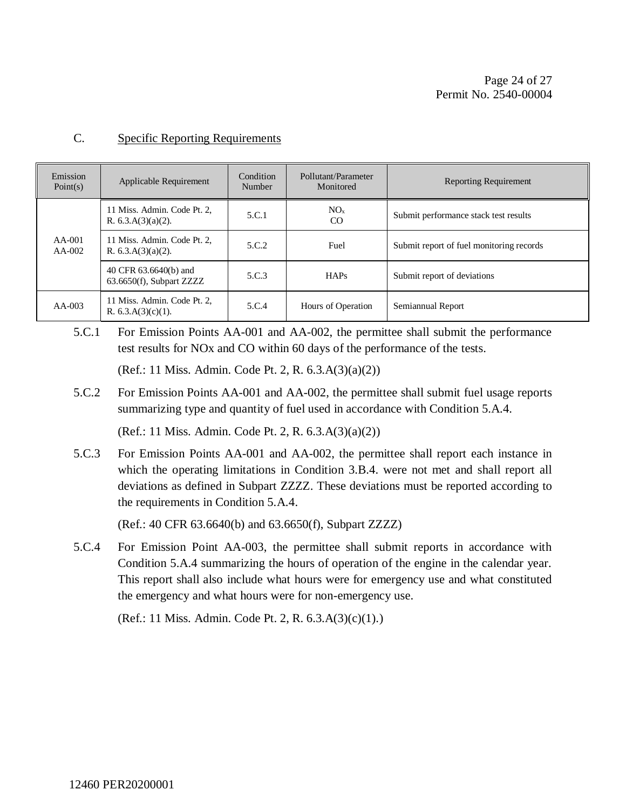#### C. Specific Reporting Requirements

| Emission<br>Point(s) | Applicable Requirement                               | Condition<br>Number | Pollutant/Parameter<br>Monitored | <b>Reporting Requirement</b>             |
|----------------------|------------------------------------------------------|---------------------|----------------------------------|------------------------------------------|
|                      | 11 Miss. Admin. Code Pt. 2,<br>R. $6.3.A(3)(a)(2)$ . | 5.C.1               | NO <sub>x</sub><br>CO            | Submit performance stack test results    |
| $AA-001$<br>$AA-002$ | 11 Miss. Admin. Code Pt. 2,<br>R. $6.3.A(3)(a)(2)$ . | 5.C.2               | Fuel                             | Submit report of fuel monitoring records |
|                      | 40 CFR 63.6640(b) and<br>63.6650(f), Subpart ZZZZ    | 5.C.3               | HAPs                             | Submit report of deviations              |
| $AA-003$             | 11 Miss. Admin. Code Pt. 2,<br>R. $6.3.A(3)(c)(1)$ . | 5.C.4               | Hours of Operation               | Semiannual Report                        |

5.C.1 For Emission Points AA-001 and AA-002, the permittee shall submit the performance test results for NOx and CO within 60 days of the performance of the tests.

(Ref.: 11 Miss. Admin. Code Pt. 2, R. 6.3.A(3)(a)(2))

5.C.2 For Emission Points AA-001 and AA-002, the permittee shall submit fuel usage reports summarizing type and quantity of fuel used in accordance with Condition 5.A.4.

(Ref.: 11 Miss. Admin. Code Pt. 2, R. 6.3.A(3)(a)(2))

5.C.3 For Emission Points AA-001 and AA-002, the permittee shall report each instance in which the operating limitations in Condition 3.B.4. were not met and shall report all deviations as defined in Subpart ZZZZ. These deviations must be reported according to the requirements in Condition 5.A.4.

(Ref.: 40 CFR 63.6640(b) and 63.6650(f), Subpart ZZZZ)

5.C.4 For Emission Point AA-003, the permittee shall submit reports in accordance with Condition 5.A.4 summarizing the hours of operation of the engine in the calendar year. This report shall also include what hours were for emergency use and what constituted the emergency and what hours were for non-emergency use.

(Ref.: 11 Miss. Admin. Code Pt. 2, R. 6.3.A(3)(c)(1).)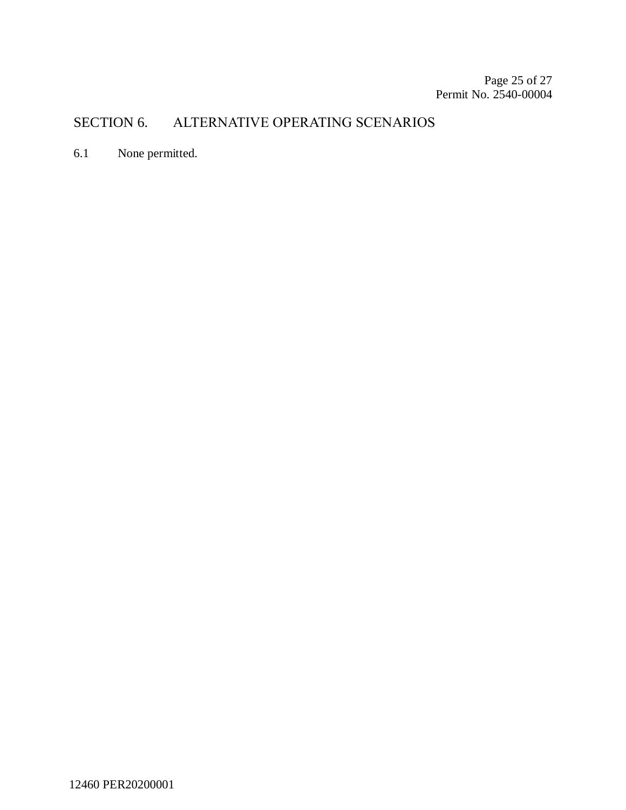## SECTION 6. ALTERNATIVE OPERATING SCENARIOS

6.1 None permitted.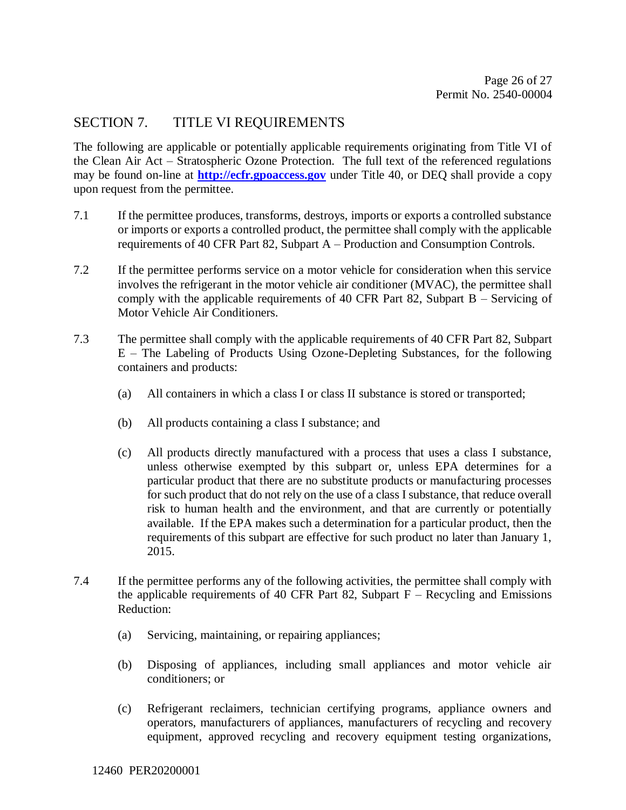## SECTION 7. TITLE VI REQUIREMENTS

The following are applicable or potentially applicable requirements originating from Title VI of the Clean Air Act – Stratospheric Ozone Protection. The full text of the referenced regulations may be found on-line at **[http://ecfr.gpoaccess.gov](http://ecfr.gpoaccess.gov/)** under Title 40, or DEQ shall provide a copy upon request from the permittee.

- 7.1 If the permittee produces, transforms, destroys, imports or exports a controlled substance or imports or exports a controlled product, the permittee shall comply with the applicable requirements of 40 CFR Part 82, Subpart A – Production and Consumption Controls.
- 7.2 If the permittee performs service on a motor vehicle for consideration when this service involves the refrigerant in the motor vehicle air conditioner (MVAC), the permittee shall comply with the applicable requirements of 40 CFR Part 82, Subpart B – Servicing of Motor Vehicle Air Conditioners.
- 7.3 The permittee shall comply with the applicable requirements of 40 CFR Part 82, Subpart E – The Labeling of Products Using Ozone-Depleting Substances, for the following containers and products:
	- (a) All containers in which a class I or class II substance is stored or transported;
	- (b) All products containing a class I substance; and
	- (c) All products directly manufactured with a process that uses a class I substance, unless otherwise exempted by this subpart or, unless EPA determines for a particular product that there are no substitute products or manufacturing processes for such product that do not rely on the use of a class I substance, that reduce overall risk to human health and the environment, and that are currently or potentially available. If the EPA makes such a determination for a particular product, then the requirements of this subpart are effective for such product no later than January 1, 2015.
- 7.4 If the permittee performs any of the following activities, the permittee shall comply with the applicable requirements of 40 CFR Part 82, Subpart  $F -$  Recycling and Emissions Reduction:
	- (a) Servicing, maintaining, or repairing appliances;
	- (b) Disposing of appliances, including small appliances and motor vehicle air conditioners; or
	- (c) Refrigerant reclaimers, technician certifying programs, appliance owners and operators, manufacturers of appliances, manufacturers of recycling and recovery equipment, approved recycling and recovery equipment testing organizations,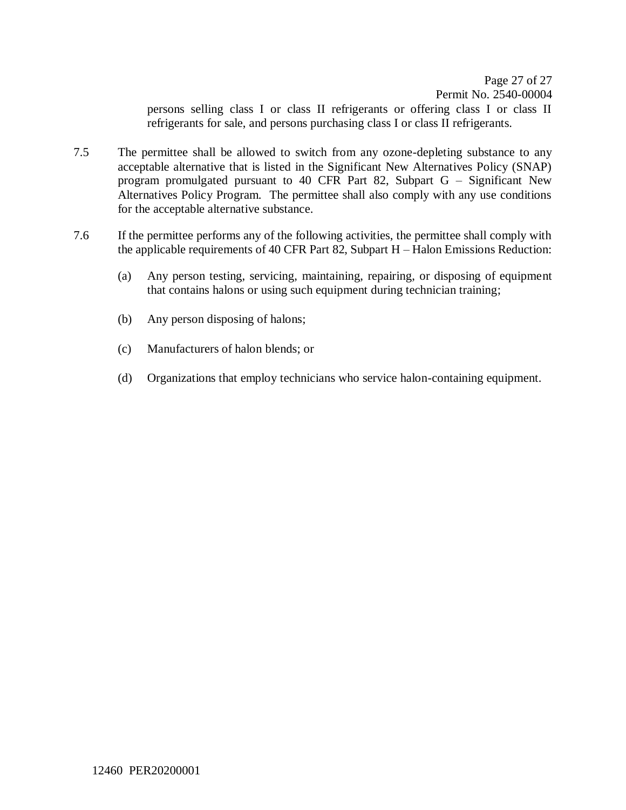Page 27 of [27](#page-26-0) Permit No. 2540-00004 persons selling class I or class II refrigerants or offering class I or class II refrigerants for sale, and persons purchasing class I or class II refrigerants.

- 7.5 The permittee shall be allowed to switch from any ozone-depleting substance to any acceptable alternative that is listed in the Significant New Alternatives Policy (SNAP) program promulgated pursuant to 40 CFR Part 82, Subpart G – Significant New Alternatives Policy Program. The permittee shall also comply with any use conditions for the acceptable alternative substance.
- <span id="page-26-0"></span>7.6 If the permittee performs any of the following activities, the permittee shall comply with the applicable requirements of 40 CFR Part 82, Subpart H – Halon Emissions Reduction:
	- (a) Any person testing, servicing, maintaining, repairing, or disposing of equipment that contains halons or using such equipment during technician training;
	- (b) Any person disposing of halons;
	- (c) Manufacturers of halon blends; or
	- (d) Organizations that employ technicians who service halon-containing equipment.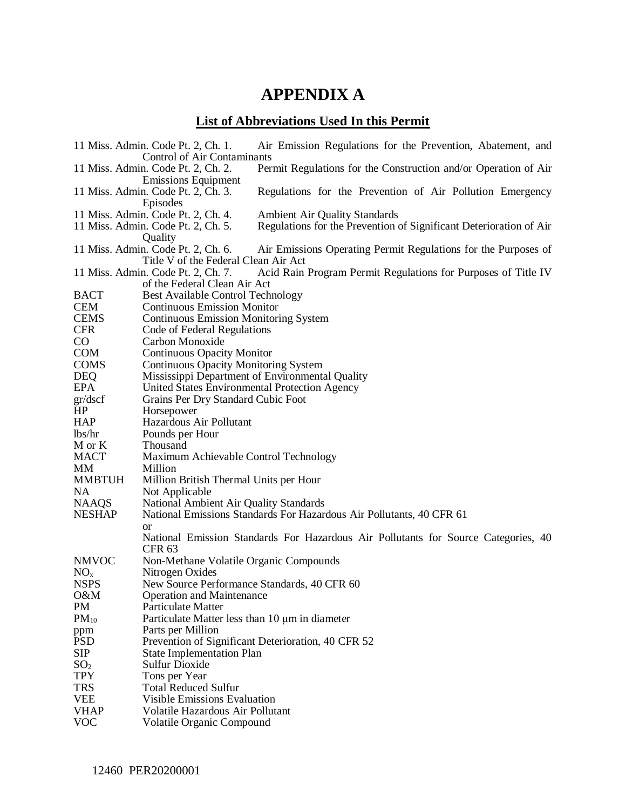## **APPENDIX A**

## **List of Abbreviations Used In this Permit**

|                                                                   | 11 Miss. Admin. Code Pt. 2, Ch. 1.                                         | Air Emission Regulations for the Prevention, Abatement, and                        |  |  |  |  |  |
|-------------------------------------------------------------------|----------------------------------------------------------------------------|------------------------------------------------------------------------------------|--|--|--|--|--|
| Control of Air Contaminants<br>11 Miss. Admin. Code Pt. 2, Ch. 2. |                                                                            |                                                                                    |  |  |  |  |  |
|                                                                   | <b>Emissions Equipment</b>                                                 | Permit Regulations for the Construction and/or Operation of Air                    |  |  |  |  |  |
|                                                                   | 11 Miss. Admin. Code Pt. 2, Ch. 3.                                         | Regulations for the Prevention of Air Pollution Emergency                          |  |  |  |  |  |
|                                                                   | Episodes                                                                   |                                                                                    |  |  |  |  |  |
|                                                                   | <b>Ambient Air Quality Standards</b><br>11 Miss. Admin. Code Pt. 2, Ch. 4. |                                                                                    |  |  |  |  |  |
|                                                                   | 11 Miss. Admin. Code Pt. 2, Ch. 5.                                         | Regulations for the Prevention of Significant Deterioration of Air                 |  |  |  |  |  |
|                                                                   | Quality                                                                    |                                                                                    |  |  |  |  |  |
|                                                                   | 11 Miss. Admin. Code Pt. 2, Ch. 6.                                         | Air Emissions Operating Permit Regulations for the Purposes of                     |  |  |  |  |  |
|                                                                   | Title V of the Federal Clean Air Act                                       |                                                                                    |  |  |  |  |  |
|                                                                   | 11 Miss. Admin. Code Pt. 2, Ch. 7.                                         | Acid Rain Program Permit Regulations for Purposes of Title IV                      |  |  |  |  |  |
|                                                                   | of the Federal Clean Air Act                                               |                                                                                    |  |  |  |  |  |
| <b>BACT</b>                                                       | <b>Best Available Control Technology</b>                                   |                                                                                    |  |  |  |  |  |
| <b>CEM</b>                                                        | <b>Continuous Emission Monitor</b>                                         |                                                                                    |  |  |  |  |  |
| <b>CEMS</b>                                                       | <b>Continuous Emission Monitoring System</b>                               |                                                                                    |  |  |  |  |  |
| <b>CFR</b>                                                        | Code of Federal Regulations                                                |                                                                                    |  |  |  |  |  |
| $\rm CO$                                                          | Carbon Monoxide                                                            |                                                                                    |  |  |  |  |  |
| <b>COM</b>                                                        | <b>Continuous Opacity Monitor</b>                                          |                                                                                    |  |  |  |  |  |
| <b>COMS</b>                                                       | <b>Continuous Opacity Monitoring System</b>                                |                                                                                    |  |  |  |  |  |
| <b>DEQ</b>                                                        | Mississippi Department of Environmental Quality                            |                                                                                    |  |  |  |  |  |
| <b>EPA</b>                                                        | United States Environmental Protection Agency                              |                                                                                    |  |  |  |  |  |
| gr/dscf                                                           | Grains Per Dry Standard Cubic Foot                                         |                                                                                    |  |  |  |  |  |
| HP                                                                | Horsepower                                                                 |                                                                                    |  |  |  |  |  |
| <b>HAP</b>                                                        | Hazardous Air Pollutant                                                    |                                                                                    |  |  |  |  |  |
| lbs/hr                                                            | Pounds per Hour                                                            |                                                                                    |  |  |  |  |  |
| M or K                                                            | Thousand                                                                   |                                                                                    |  |  |  |  |  |
| <b>MACT</b>                                                       | Maximum Achievable Control Technology                                      |                                                                                    |  |  |  |  |  |
| <b>MM</b>                                                         | Million                                                                    |                                                                                    |  |  |  |  |  |
| <b>MMBTUH</b>                                                     | Million British Thermal Units per Hour                                     |                                                                                    |  |  |  |  |  |
| NA                                                                | Not Applicable                                                             |                                                                                    |  |  |  |  |  |
| <b>NAAQS</b><br><b>NESHAP</b>                                     | National Ambient Air Quality Standards                                     | National Emissions Standards For Hazardous Air Pollutants, 40 CFR 61               |  |  |  |  |  |
|                                                                   |                                                                            |                                                                                    |  |  |  |  |  |
|                                                                   | or                                                                         | National Emission Standards For Hazardous Air Pollutants for Source Categories, 40 |  |  |  |  |  |
|                                                                   | <b>CFR 63</b>                                                              |                                                                                    |  |  |  |  |  |
| <b>NMVOC</b>                                                      | Non-Methane Volatile Organic Compounds                                     |                                                                                    |  |  |  |  |  |
| NO <sub>x</sub>                                                   | Nitrogen Oxides                                                            |                                                                                    |  |  |  |  |  |
| <b>NSPS</b>                                                       | New Source Performance Standards, 40 CFR 60                                |                                                                                    |  |  |  |  |  |
| O&M                                                               | <b>Operation and Maintenance</b>                                           |                                                                                    |  |  |  |  |  |
| PM                                                                | Particulate Matter                                                         |                                                                                    |  |  |  |  |  |
| $PM_{10}$                                                         | Particulate Matter less than 10 µm in diameter                             |                                                                                    |  |  |  |  |  |
| ppm                                                               | Parts per Million                                                          |                                                                                    |  |  |  |  |  |
| <b>PSD</b>                                                        | Prevention of Significant Deterioration, 40 CFR 52                         |                                                                                    |  |  |  |  |  |
| <b>SIP</b>                                                        | <b>State Implementation Plan</b>                                           |                                                                                    |  |  |  |  |  |
| SO <sub>2</sub>                                                   | <b>Sulfur Dioxide</b>                                                      |                                                                                    |  |  |  |  |  |
| <b>TPY</b>                                                        | Tons per Year                                                              |                                                                                    |  |  |  |  |  |
| <b>TRS</b>                                                        | <b>Total Reduced Sulfur</b>                                                |                                                                                    |  |  |  |  |  |
| <b>VEE</b>                                                        | <b>Visible Emissions Evaluation</b>                                        |                                                                                    |  |  |  |  |  |
| <b>VHAP</b>                                                       | Volatile Hazardous Air Pollutant                                           |                                                                                    |  |  |  |  |  |
| <b>VOC</b>                                                        | Volatile Organic Compound                                                  |                                                                                    |  |  |  |  |  |